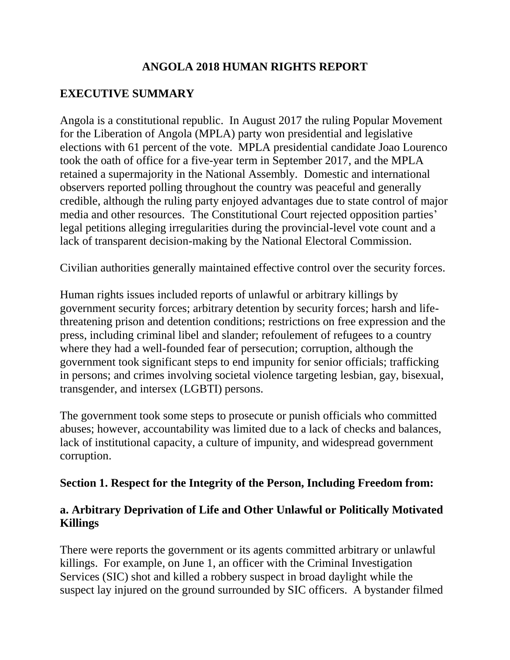# **ANGOLA 2018 HUMAN RIGHTS REPORT**

# **EXECUTIVE SUMMARY**

Angola is a constitutional republic. In August 2017 the ruling Popular Movement for the Liberation of Angola (MPLA) party won presidential and legislative elections with 61 percent of the vote. MPLA presidential candidate Joao Lourenco took the oath of office for a five-year term in September 2017, and the MPLA retained a supermajority in the National Assembly. Domestic and international observers reported polling throughout the country was peaceful and generally credible, although the ruling party enjoyed advantages due to state control of major media and other resources. The Constitutional Court rejected opposition parties' legal petitions alleging irregularities during the provincial-level vote count and a lack of transparent decision-making by the National Electoral Commission.

Civilian authorities generally maintained effective control over the security forces.

Human rights issues included reports of unlawful or arbitrary killings by government security forces; arbitrary detention by security forces; harsh and lifethreatening prison and detention conditions; restrictions on free expression and the press, including criminal libel and slander; refoulement of refugees to a country where they had a well-founded fear of persecution; corruption, although the government took significant steps to end impunity for senior officials; trafficking in persons; and crimes involving societal violence targeting lesbian, gay, bisexual, transgender, and intersex (LGBTI) persons.

The government took some steps to prosecute or punish officials who committed abuses; however, accountability was limited due to a lack of checks and balances, lack of institutional capacity, a culture of impunity, and widespread government corruption.

### **Section 1. Respect for the Integrity of the Person, Including Freedom from:**

#### **a. Arbitrary Deprivation of Life and Other Unlawful or Politically Motivated Killings**

There were reports the government or its agents committed arbitrary or unlawful killings. For example, on June 1, an officer with the Criminal Investigation Services (SIC) shot and killed a robbery suspect in broad daylight while the suspect lay injured on the ground surrounded by SIC officers. A bystander filmed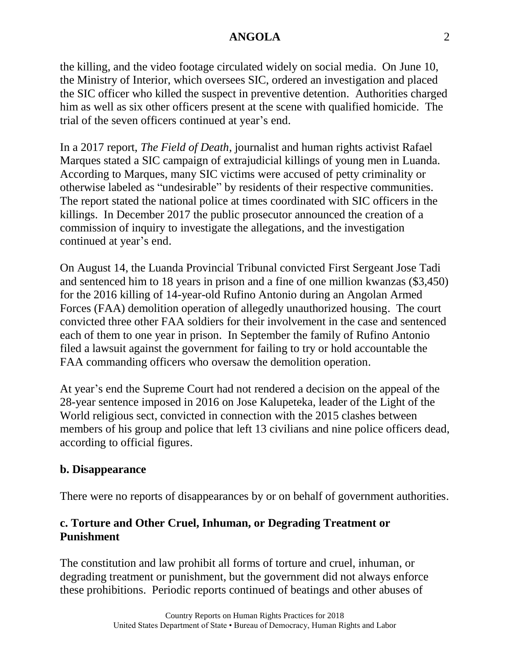the killing, and the video footage circulated widely on social media. On June 10, the Ministry of Interior, which oversees SIC, ordered an investigation and placed the SIC officer who killed the suspect in preventive detention. Authorities charged him as well as six other officers present at the scene with qualified homicide. The trial of the seven officers continued at year's end.

In a 2017 report, *The Field of Death*, journalist and human rights activist Rafael Marques stated a SIC campaign of extrajudicial killings of young men in Luanda. According to Marques, many SIC victims were accused of petty criminality or otherwise labeled as "undesirable" by residents of their respective communities. The report stated the national police at times coordinated with SIC officers in the killings. In December 2017 the public prosecutor announced the creation of a commission of inquiry to investigate the allegations, and the investigation continued at year's end.

On August 14, the Luanda Provincial Tribunal convicted First Sergeant Jose Tadi and sentenced him to 18 years in prison and a fine of one million kwanzas (\$3,450) for the 2016 killing of 14-year-old Rufino Antonio during an Angolan Armed Forces (FAA) demolition operation of allegedly unauthorized housing. The court convicted three other FAA soldiers for their involvement in the case and sentenced each of them to one year in prison. In September the family of Rufino Antonio filed a lawsuit against the government for failing to try or hold accountable the FAA commanding officers who oversaw the demolition operation.

At year's end the Supreme Court had not rendered a decision on the appeal of the 28-year sentence imposed in 2016 on Jose Kalupeteka, leader of the Light of the World religious sect, convicted in connection with the 2015 clashes between members of his group and police that left 13 civilians and nine police officers dead, according to official figures.

### **b. Disappearance**

There were no reports of disappearances by or on behalf of government authorities.

### **c. Torture and Other Cruel, Inhuman, or Degrading Treatment or Punishment**

The constitution and law prohibit all forms of torture and cruel, inhuman, or degrading treatment or punishment, but the government did not always enforce these prohibitions. Periodic reports continued of beatings and other abuses of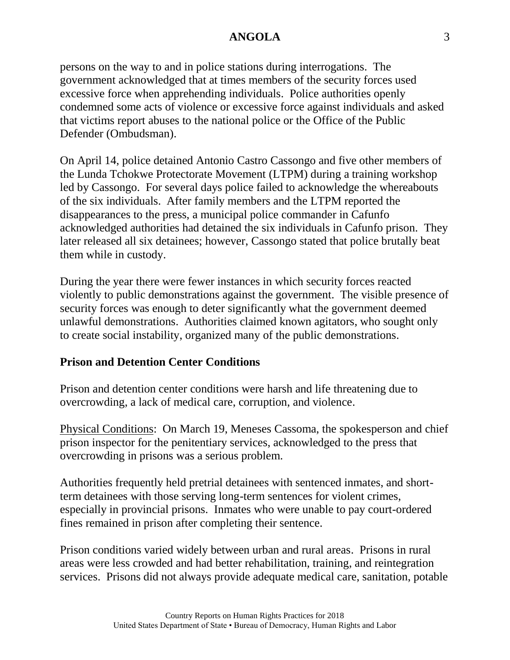persons on the way to and in police stations during interrogations. The government acknowledged that at times members of the security forces used excessive force when apprehending individuals. Police authorities openly condemned some acts of violence or excessive force against individuals and asked that victims report abuses to the national police or the Office of the Public Defender (Ombudsman).

On April 14, police detained Antonio Castro Cassongo and five other members of the Lunda Tchokwe Protectorate Movement (LTPM) during a training workshop led by Cassongo. For several days police failed to acknowledge the whereabouts of the six individuals. After family members and the LTPM reported the disappearances to the press, a municipal police commander in Cafunfo acknowledged authorities had detained the six individuals in Cafunfo prison. They later released all six detainees; however, Cassongo stated that police brutally beat them while in custody.

During the year there were fewer instances in which security forces reacted violently to public demonstrations against the government. The visible presence of security forces was enough to deter significantly what the government deemed unlawful demonstrations. Authorities claimed known agitators, who sought only to create social instability, organized many of the public demonstrations.

### **Prison and Detention Center Conditions**

Prison and detention center conditions were harsh and life threatening due to overcrowding, a lack of medical care, corruption, and violence.

Physical Conditions: On March 19, Meneses Cassoma, the spokesperson and chief prison inspector for the penitentiary services, acknowledged to the press that overcrowding in prisons was a serious problem.

Authorities frequently held pretrial detainees with sentenced inmates, and shortterm detainees with those serving long-term sentences for violent crimes, especially in provincial prisons. Inmates who were unable to pay court-ordered fines remained in prison after completing their sentence.

Prison conditions varied widely between urban and rural areas. Prisons in rural areas were less crowded and had better rehabilitation, training, and reintegration services. Prisons did not always provide adequate medical care, sanitation, potable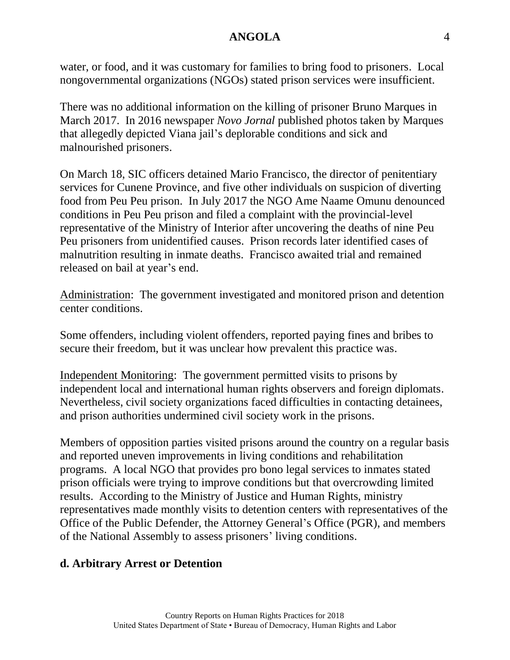water, or food, and it was customary for families to bring food to prisoners. Local nongovernmental organizations (NGOs) stated prison services were insufficient.

There was no additional information on the killing of prisoner Bruno Marques in March 2017. In 2016 newspaper *Novo Jornal* published photos taken by Marques that allegedly depicted Viana jail's deplorable conditions and sick and malnourished prisoners.

On March 18, SIC officers detained Mario Francisco, the director of penitentiary services for Cunene Province, and five other individuals on suspicion of diverting food from Peu Peu prison. In July 2017 the NGO Ame Naame Omunu denounced conditions in Peu Peu prison and filed a complaint with the provincial-level representative of the Ministry of Interior after uncovering the deaths of nine Peu Peu prisoners from unidentified causes. Prison records later identified cases of malnutrition resulting in inmate deaths. Francisco awaited trial and remained released on bail at year's end.

Administration: The government investigated and monitored prison and detention center conditions.

Some offenders, including violent offenders, reported paying fines and bribes to secure their freedom, but it was unclear how prevalent this practice was.

Independent Monitoring: The government permitted visits to prisons by independent local and international human rights observers and foreign diplomats. Nevertheless, civil society organizations faced difficulties in contacting detainees, and prison authorities undermined civil society work in the prisons.

Members of opposition parties visited prisons around the country on a regular basis and reported uneven improvements in living conditions and rehabilitation programs. A local NGO that provides pro bono legal services to inmates stated prison officials were trying to improve conditions but that overcrowding limited results. According to the Ministry of Justice and Human Rights, ministry representatives made monthly visits to detention centers with representatives of the Office of the Public Defender, the Attorney General's Office (PGR), and members of the National Assembly to assess prisoners' living conditions.

### **d. Arbitrary Arrest or Detention**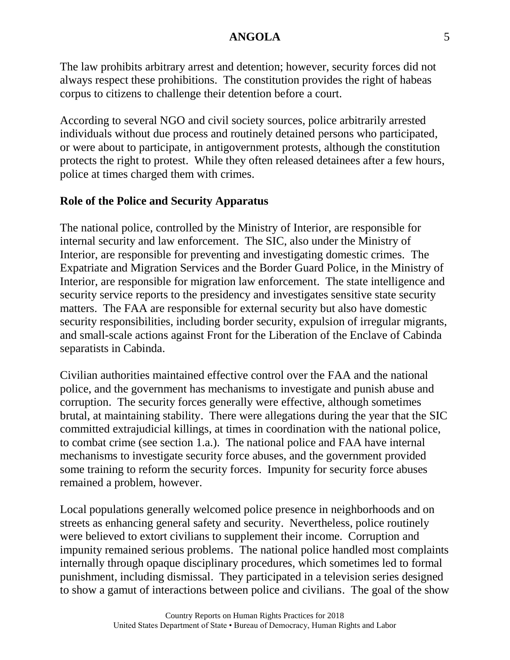The law prohibits arbitrary arrest and detention; however, security forces did not always respect these prohibitions. The constitution provides the right of habeas corpus to citizens to challenge their detention before a court.

According to several NGO and civil society sources, police arbitrarily arrested individuals without due process and routinely detained persons who participated, or were about to participate, in antigovernment protests, although the constitution protects the right to protest. While they often released detainees after a few hours, police at times charged them with crimes.

#### **Role of the Police and Security Apparatus**

The national police, controlled by the Ministry of Interior, are responsible for internal security and law enforcement. The SIC, also under the Ministry of Interior, are responsible for preventing and investigating domestic crimes. The Expatriate and Migration Services and the Border Guard Police, in the Ministry of Interior, are responsible for migration law enforcement. The state intelligence and security service reports to the presidency and investigates sensitive state security matters. The FAA are responsible for external security but also have domestic security responsibilities, including border security, expulsion of irregular migrants, and small-scale actions against Front for the Liberation of the Enclave of Cabinda separatists in Cabinda.

Civilian authorities maintained effective control over the FAA and the national police, and the government has mechanisms to investigate and punish abuse and corruption. The security forces generally were effective, although sometimes brutal, at maintaining stability. There were allegations during the year that the SIC committed extrajudicial killings, at times in coordination with the national police, to combat crime (see section 1.a.). The national police and FAA have internal mechanisms to investigate security force abuses, and the government provided some training to reform the security forces. Impunity for security force abuses remained a problem, however.

Local populations generally welcomed police presence in neighborhoods and on streets as enhancing general safety and security. Nevertheless, police routinely were believed to extort civilians to supplement their income. Corruption and impunity remained serious problems. The national police handled most complaints internally through opaque disciplinary procedures, which sometimes led to formal punishment, including dismissal. They participated in a television series designed to show a gamut of interactions between police and civilians. The goal of the show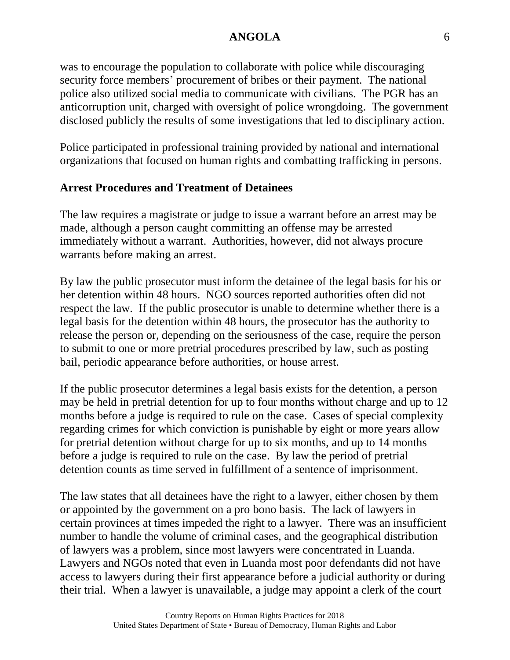was to encourage the population to collaborate with police while discouraging security force members' procurement of bribes or their payment. The national police also utilized social media to communicate with civilians. The PGR has an anticorruption unit, charged with oversight of police wrongdoing. The government disclosed publicly the results of some investigations that led to disciplinary action.

Police participated in professional training provided by national and international organizations that focused on human rights and combatting trafficking in persons.

#### **Arrest Procedures and Treatment of Detainees**

The law requires a magistrate or judge to issue a warrant before an arrest may be made, although a person caught committing an offense may be arrested immediately without a warrant. Authorities, however, did not always procure warrants before making an arrest.

By law the public prosecutor must inform the detainee of the legal basis for his or her detention within 48 hours. NGO sources reported authorities often did not respect the law. If the public prosecutor is unable to determine whether there is a legal basis for the detention within 48 hours, the prosecutor has the authority to release the person or, depending on the seriousness of the case, require the person to submit to one or more pretrial procedures prescribed by law, such as posting bail, periodic appearance before authorities, or house arrest.

If the public prosecutor determines a legal basis exists for the detention, a person may be held in pretrial detention for up to four months without charge and up to 12 months before a judge is required to rule on the case. Cases of special complexity regarding crimes for which conviction is punishable by eight or more years allow for pretrial detention without charge for up to six months, and up to 14 months before a judge is required to rule on the case. By law the period of pretrial detention counts as time served in fulfillment of a sentence of imprisonment.

The law states that all detainees have the right to a lawyer, either chosen by them or appointed by the government on a pro bono basis. The lack of lawyers in certain provinces at times impeded the right to a lawyer. There was an insufficient number to handle the volume of criminal cases, and the geographical distribution of lawyers was a problem, since most lawyers were concentrated in Luanda. Lawyers and NGOs noted that even in Luanda most poor defendants did not have access to lawyers during their first appearance before a judicial authority or during their trial. When a lawyer is unavailable, a judge may appoint a clerk of the court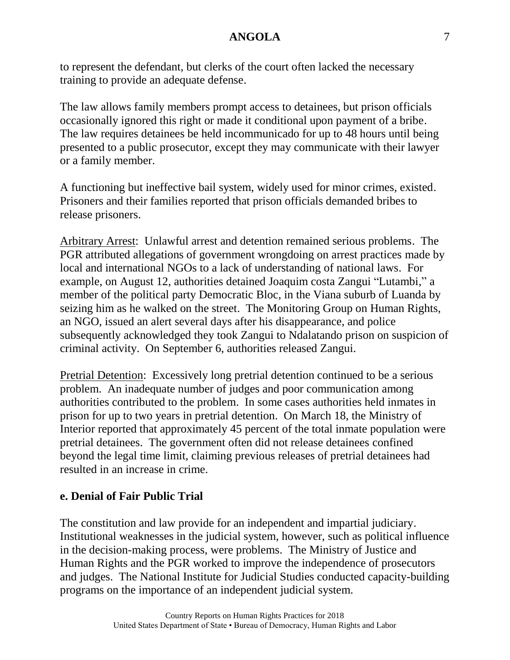to represent the defendant, but clerks of the court often lacked the necessary training to provide an adequate defense.

The law allows family members prompt access to detainees, but prison officials occasionally ignored this right or made it conditional upon payment of a bribe. The law requires detainees be held incommunicado for up to 48 hours until being presented to a public prosecutor, except they may communicate with their lawyer or a family member.

A functioning but ineffective bail system, widely used for minor crimes, existed. Prisoners and their families reported that prison officials demanded bribes to release prisoners.

Arbitrary Arrest: Unlawful arrest and detention remained serious problems. The PGR attributed allegations of government wrongdoing on arrest practices made by local and international NGOs to a lack of understanding of national laws. For example, on August 12, authorities detained Joaquim costa Zangui "Lutambi," a member of the political party Democratic Bloc, in the Viana suburb of Luanda by seizing him as he walked on the street. The Monitoring Group on Human Rights, an NGO, issued an alert several days after his disappearance, and police subsequently acknowledged they took Zangui to Ndalatando prison on suspicion of criminal activity. On September 6, authorities released Zangui.

Pretrial Detention: Excessively long pretrial detention continued to be a serious problem. An inadequate number of judges and poor communication among authorities contributed to the problem. In some cases authorities held inmates in prison for up to two years in pretrial detention. On March 18, the Ministry of Interior reported that approximately 45 percent of the total inmate population were pretrial detainees. The government often did not release detainees confined beyond the legal time limit, claiming previous releases of pretrial detainees had resulted in an increase in crime.

#### **e. Denial of Fair Public Trial**

The constitution and law provide for an independent and impartial judiciary. Institutional weaknesses in the judicial system, however, such as political influence in the decision-making process, were problems. The Ministry of Justice and Human Rights and the PGR worked to improve the independence of prosecutors and judges. The National Institute for Judicial Studies conducted capacity-building programs on the importance of an independent judicial system.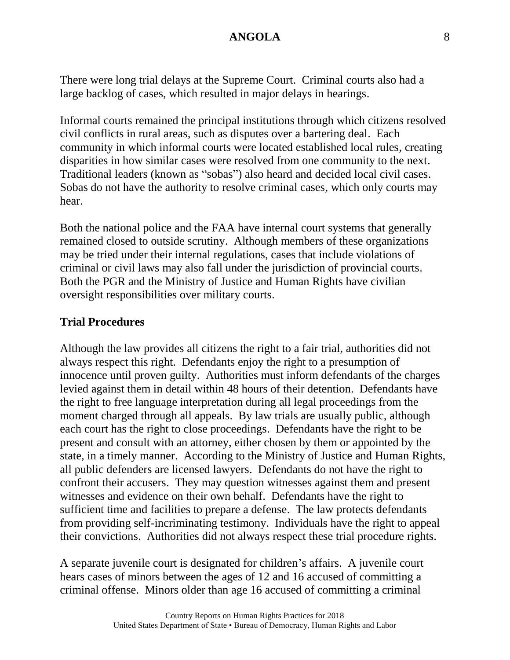There were long trial delays at the Supreme Court. Criminal courts also had a large backlog of cases, which resulted in major delays in hearings.

Informal courts remained the principal institutions through which citizens resolved civil conflicts in rural areas, such as disputes over a bartering deal. Each community in which informal courts were located established local rules, creating disparities in how similar cases were resolved from one community to the next. Traditional leaders (known as "sobas") also heard and decided local civil cases. Sobas do not have the authority to resolve criminal cases, which only courts may hear.

Both the national police and the FAA have internal court systems that generally remained closed to outside scrutiny. Although members of these organizations may be tried under their internal regulations, cases that include violations of criminal or civil laws may also fall under the jurisdiction of provincial courts. Both the PGR and the Ministry of Justice and Human Rights have civilian oversight responsibilities over military courts.

#### **Trial Procedures**

Although the law provides all citizens the right to a fair trial, authorities did not always respect this right. Defendants enjoy the right to a presumption of innocence until proven guilty. Authorities must inform defendants of the charges levied against them in detail within 48 hours of their detention. Defendants have the right to free language interpretation during all legal proceedings from the moment charged through all appeals. By law trials are usually public, although each court has the right to close proceedings. Defendants have the right to be present and consult with an attorney, either chosen by them or appointed by the state, in a timely manner. According to the Ministry of Justice and Human Rights, all public defenders are licensed lawyers. Defendants do not have the right to confront their accusers. They may question witnesses against them and present witnesses and evidence on their own behalf. Defendants have the right to sufficient time and facilities to prepare a defense. The law protects defendants from providing self-incriminating testimony. Individuals have the right to appeal their convictions. Authorities did not always respect these trial procedure rights.

A separate juvenile court is designated for children's affairs. A juvenile court hears cases of minors between the ages of 12 and 16 accused of committing a criminal offense. Minors older than age 16 accused of committing a criminal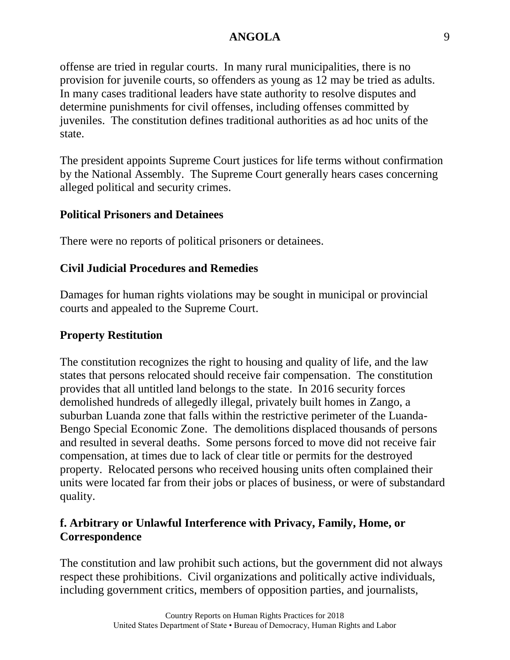offense are tried in regular courts. In many rural municipalities, there is no provision for juvenile courts, so offenders as young as 12 may be tried as adults. In many cases traditional leaders have state authority to resolve disputes and determine punishments for civil offenses, including offenses committed by juveniles. The constitution defines traditional authorities as ad hoc units of the state.

The president appoints Supreme Court justices for life terms without confirmation by the National Assembly. The Supreme Court generally hears cases concerning alleged political and security crimes.

#### **Political Prisoners and Detainees**

There were no reports of political prisoners or detainees.

### **Civil Judicial Procedures and Remedies**

Damages for human rights violations may be sought in municipal or provincial courts and appealed to the Supreme Court.

#### **Property Restitution**

The constitution recognizes the right to housing and quality of life, and the law states that persons relocated should receive fair compensation. The constitution provides that all untitled land belongs to the state. In 2016 security forces demolished hundreds of allegedly illegal, privately built homes in Zango, a suburban Luanda zone that falls within the restrictive perimeter of the Luanda-Bengo Special Economic Zone. The demolitions displaced thousands of persons and resulted in several deaths. Some persons forced to move did not receive fair compensation, at times due to lack of clear title or permits for the destroyed property. Relocated persons who received housing units often complained their units were located far from their jobs or places of business, or were of substandard quality.

### **f. Arbitrary or Unlawful Interference with Privacy, Family, Home, or Correspondence**

The constitution and law prohibit such actions, but the government did not always respect these prohibitions. Civil organizations and politically active individuals, including government critics, members of opposition parties, and journalists,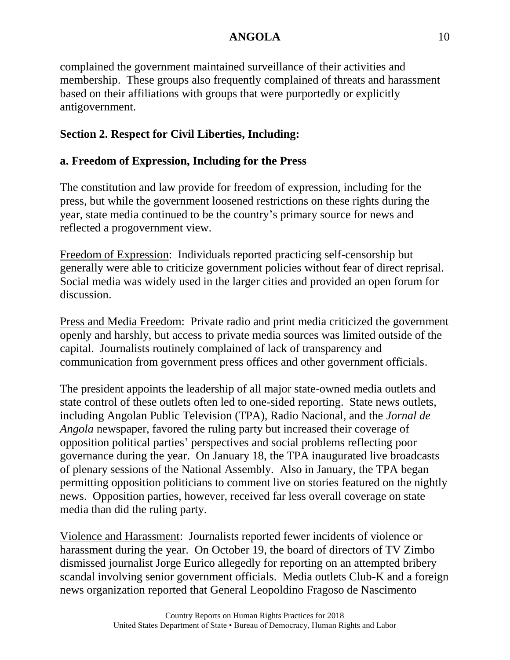complained the government maintained surveillance of their activities and membership. These groups also frequently complained of threats and harassment based on their affiliations with groups that were purportedly or explicitly antigovernment.

# **Section 2. Respect for Civil Liberties, Including:**

# **a. Freedom of Expression, Including for the Press**

The constitution and law provide for freedom of expression, including for the press, but while the government loosened restrictions on these rights during the year, state media continued to be the country's primary source for news and reflected a progovernment view.

Freedom of Expression: Individuals reported practicing self-censorship but generally were able to criticize government policies without fear of direct reprisal. Social media was widely used in the larger cities and provided an open forum for discussion.

Press and Media Freedom: Private radio and print media criticized the government openly and harshly, but access to private media sources was limited outside of the capital. Journalists routinely complained of lack of transparency and communication from government press offices and other government officials.

The president appoints the leadership of all major state-owned media outlets and state control of these outlets often led to one-sided reporting. State news outlets, including Angolan Public Television (TPA), Radio Nacional, and the *Jornal de Angola* newspaper, favored the ruling party but increased their coverage of opposition political parties' perspectives and social problems reflecting poor governance during the year. On January 18, the TPA inaugurated live broadcasts of plenary sessions of the National Assembly. Also in January, the TPA began permitting opposition politicians to comment live on stories featured on the nightly news. Opposition parties, however, received far less overall coverage on state media than did the ruling party.

Violence and Harassment: Journalists reported fewer incidents of violence or harassment during the year. On October 19, the board of directors of TV Zimbo dismissed journalist Jorge Eurico allegedly for reporting on an attempted bribery scandal involving senior government officials. Media outlets Club-K and a foreign news organization reported that General Leopoldino Fragoso de Nascimento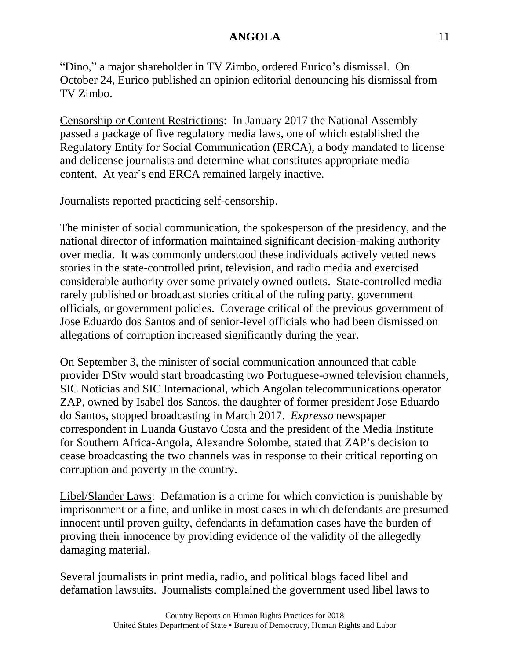"Dino," a major shareholder in TV Zimbo, ordered Eurico's dismissal. On October 24, Eurico published an opinion editorial denouncing his dismissal from TV Zimbo.

Censorship or Content Restrictions: In January 2017 the National Assembly passed a package of five regulatory media laws, one of which established the Regulatory Entity for Social Communication (ERCA), a body mandated to license and delicense journalists and determine what constitutes appropriate media content. At year's end ERCA remained largely inactive.

Journalists reported practicing self-censorship.

The minister of social communication, the spokesperson of the presidency, and the national director of information maintained significant decision-making authority over media. It was commonly understood these individuals actively vetted news stories in the state-controlled print, television, and radio media and exercised considerable authority over some privately owned outlets. State-controlled media rarely published or broadcast stories critical of the ruling party, government officials, or government policies. Coverage critical of the previous government of Jose Eduardo dos Santos and of senior-level officials who had been dismissed on allegations of corruption increased significantly during the year.

On September 3, the minister of social communication announced that cable provider DStv would start broadcasting two Portuguese-owned television channels, SIC Noticias and SIC Internacional, which Angolan telecommunications operator ZAP, owned by Isabel dos Santos, the daughter of former president Jose Eduardo do Santos, stopped broadcasting in March 2017. *Expresso* newspaper correspondent in Luanda Gustavo Costa and the president of the Media Institute for Southern Africa-Angola, Alexandre Solombe, stated that ZAP's decision to cease broadcasting the two channels was in response to their critical reporting on corruption and poverty in the country.

Libel/Slander Laws: Defamation is a crime for which conviction is punishable by imprisonment or a fine, and unlike in most cases in which defendants are presumed innocent until proven guilty, defendants in defamation cases have the burden of proving their innocence by providing evidence of the validity of the allegedly damaging material.

Several journalists in print media, radio, and political blogs faced libel and defamation lawsuits. Journalists complained the government used libel laws to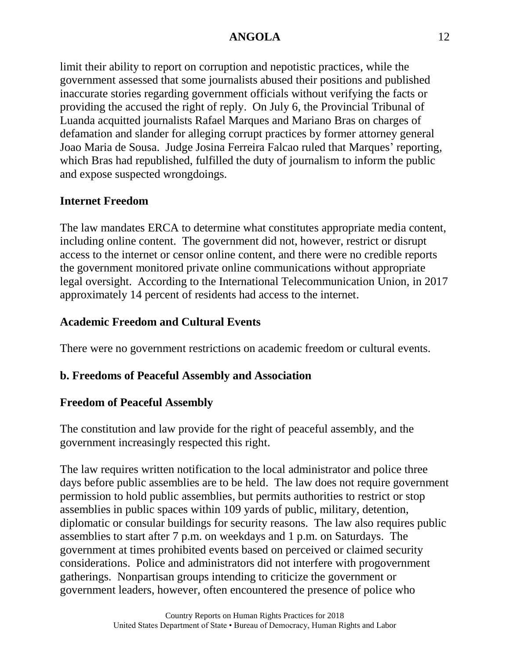limit their ability to report on corruption and nepotistic practices, while the government assessed that some journalists abused their positions and published inaccurate stories regarding government officials without verifying the facts or providing the accused the right of reply. On July 6, the Provincial Tribunal of Luanda acquitted journalists Rafael Marques and Mariano Bras on charges of defamation and slander for alleging corrupt practices by former attorney general Joao Maria de Sousa. Judge Josina Ferreira Falcao ruled that Marques' reporting, which Bras had republished, fulfilled the duty of journalism to inform the public and expose suspected wrongdoings.

### **Internet Freedom**

The law mandates ERCA to determine what constitutes appropriate media content, including online content. The government did not, however, restrict or disrupt access to the internet or censor online content, and there were no credible reports the government monitored private online communications without appropriate legal oversight. According to the International Telecommunication Union, in 2017 approximately 14 percent of residents had access to the internet.

### **Academic Freedom and Cultural Events**

There were no government restrictions on academic freedom or cultural events.

### **b. Freedoms of Peaceful Assembly and Association**

### **Freedom of Peaceful Assembly**

The constitution and law provide for the right of peaceful assembly, and the government increasingly respected this right.

The law requires written notification to the local administrator and police three days before public assemblies are to be held. The law does not require government permission to hold public assemblies, but permits authorities to restrict or stop assemblies in public spaces within 109 yards of public, military, detention, diplomatic or consular buildings for security reasons. The law also requires public assemblies to start after 7 p.m. on weekdays and 1 p.m. on Saturdays. The government at times prohibited events based on perceived or claimed security considerations. Police and administrators did not interfere with progovernment gatherings. Nonpartisan groups intending to criticize the government or government leaders, however, often encountered the presence of police who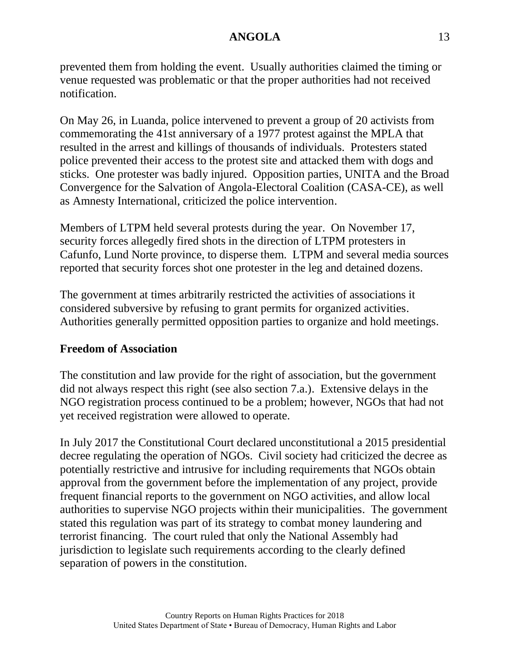prevented them from holding the event. Usually authorities claimed the timing or venue requested was problematic or that the proper authorities had not received notification.

On May 26, in Luanda, police intervened to prevent a group of 20 activists from commemorating the 41st anniversary of a 1977 protest against the MPLA that resulted in the arrest and killings of thousands of individuals. Protesters stated police prevented their access to the protest site and attacked them with dogs and sticks. One protester was badly injured. Opposition parties, UNITA and the Broad Convergence for the Salvation of Angola-Electoral Coalition (CASA-CE), as well as Amnesty International, criticized the police intervention.

Members of LTPM held several protests during the year. On November 17, security forces allegedly fired shots in the direction of LTPM protesters in Cafunfo, Lund Norte province, to disperse them. LTPM and several media sources reported that security forces shot one protester in the leg and detained dozens.

The government at times arbitrarily restricted the activities of associations it considered subversive by refusing to grant permits for organized activities. Authorities generally permitted opposition parties to organize and hold meetings.

### **Freedom of Association**

The constitution and law provide for the right of association, but the government did not always respect this right (see also section 7.a.). Extensive delays in the NGO registration process continued to be a problem; however, NGOs that had not yet received registration were allowed to operate.

In July 2017 the Constitutional Court declared unconstitutional a 2015 presidential decree regulating the operation of NGOs. Civil society had criticized the decree as potentially restrictive and intrusive for including requirements that NGOs obtain approval from the government before the implementation of any project, provide frequent financial reports to the government on NGO activities, and allow local authorities to supervise NGO projects within their municipalities. The government stated this regulation was part of its strategy to combat money laundering and terrorist financing. The court ruled that only the National Assembly had jurisdiction to legislate such requirements according to the clearly defined separation of powers in the constitution.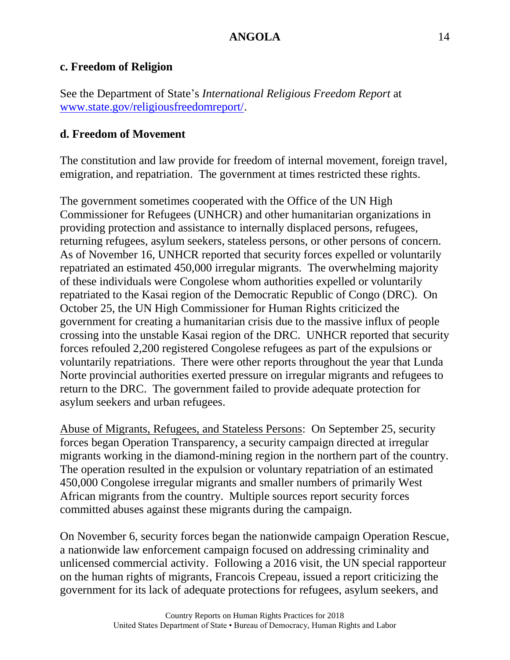#### **c. Freedom of Religion**

See the Department of State's *International Religious Freedom Report* at [www.state.gov/religiousfreedomreport/.](http://www.state.gov/religiousfreedomreport/)

#### **d. Freedom of Movement**

The constitution and law provide for freedom of internal movement, foreign travel, emigration, and repatriation. The government at times restricted these rights.

The government sometimes cooperated with the Office of the UN High Commissioner for Refugees (UNHCR) and other humanitarian organizations in providing protection and assistance to internally displaced persons, refugees, returning refugees, asylum seekers, stateless persons, or other persons of concern. As of November 16, UNHCR reported that security forces expelled or voluntarily repatriated an estimated 450,000 irregular migrants. The overwhelming majority of these individuals were Congolese whom authorities expelled or voluntarily repatriated to the Kasai region of the Democratic Republic of Congo (DRC). On October 25, the UN High Commissioner for Human Rights criticized the government for creating a humanitarian crisis due to the massive influx of people crossing into the unstable Kasai region of the DRC. UNHCR reported that security forces refouled 2,200 registered Congolese refugees as part of the expulsions or voluntarily repatriations. There were other reports throughout the year that Lunda Norte provincial authorities exerted pressure on irregular migrants and refugees to return to the DRC. The government failed to provide adequate protection for asylum seekers and urban refugees.

Abuse of Migrants, Refugees, and Stateless Persons: On September 25, security forces began Operation Transparency, a security campaign directed at irregular migrants working in the diamond-mining region in the northern part of the country. The operation resulted in the expulsion or voluntary repatriation of an estimated 450,000 Congolese irregular migrants and smaller numbers of primarily West African migrants from the country. Multiple sources report security forces committed abuses against these migrants during the campaign.

On November 6, security forces began the nationwide campaign Operation Rescue, a nationwide law enforcement campaign focused on addressing criminality and unlicensed commercial activity. Following a 2016 visit, the UN special rapporteur on the human rights of migrants, Francois Crepeau, issued a report criticizing the government for its lack of adequate protections for refugees, asylum seekers, and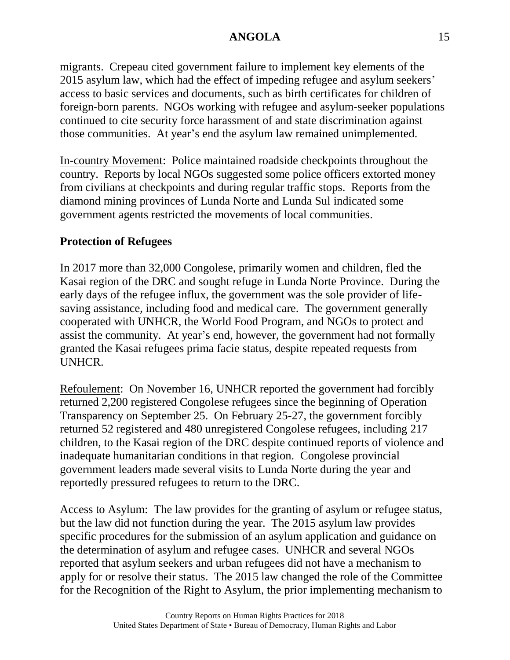migrants. Crepeau cited government failure to implement key elements of the 2015 asylum law, which had the effect of impeding refugee and asylum seekers' access to basic services and documents, such as birth certificates for children of foreign-born parents. NGOs working with refugee and asylum-seeker populations continued to cite security force harassment of and state discrimination against those communities. At year's end the asylum law remained unimplemented.

In-country Movement: Police maintained roadside checkpoints throughout the country. Reports by local NGOs suggested some police officers extorted money from civilians at checkpoints and during regular traffic stops. Reports from the diamond mining provinces of Lunda Norte and Lunda Sul indicated some government agents restricted the movements of local communities.

### **Protection of Refugees**

In 2017 more than 32,000 Congolese, primarily women and children, fled the Kasai region of the DRC and sought refuge in Lunda Norte Province. During the early days of the refugee influx, the government was the sole provider of lifesaving assistance, including food and medical care. The government generally cooperated with UNHCR, the World Food Program, and NGOs to protect and assist the community. At year's end, however, the government had not formally granted the Kasai refugees prima facie status, despite repeated requests from UNHCR.

Refoulement: On November 16, UNHCR reported the government had forcibly returned 2,200 registered Congolese refugees since the beginning of Operation Transparency on September 25. On February 25-27, the government forcibly returned 52 registered and 480 unregistered Congolese refugees, including 217 children, to the Kasai region of the DRC despite continued reports of violence and inadequate humanitarian conditions in that region. Congolese provincial government leaders made several visits to Lunda Norte during the year and reportedly pressured refugees to return to the DRC.

Access to Asylum: The law provides for the granting of asylum or refugee status, but the law did not function during the year. The 2015 asylum law provides specific procedures for the submission of an asylum application and guidance on the determination of asylum and refugee cases. UNHCR and several NGOs reported that asylum seekers and urban refugees did not have a mechanism to apply for or resolve their status. The 2015 law changed the role of the Committee for the Recognition of the Right to Asylum, the prior implementing mechanism to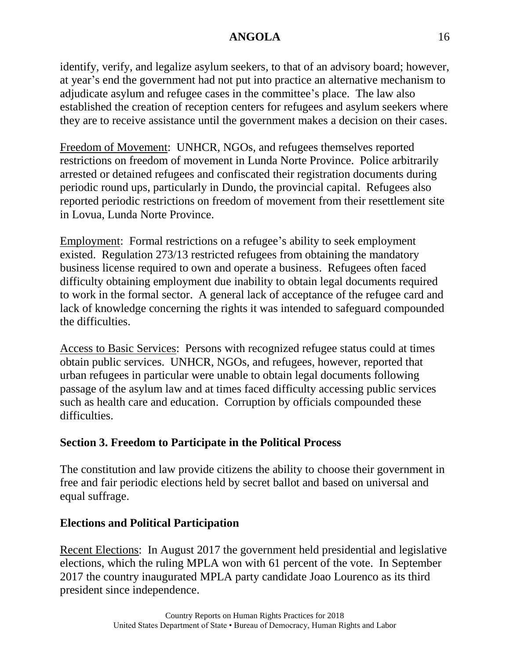identify, verify, and legalize asylum seekers, to that of an advisory board; however, at year's end the government had not put into practice an alternative mechanism to adjudicate asylum and refugee cases in the committee's place. The law also established the creation of reception centers for refugees and asylum seekers where they are to receive assistance until the government makes a decision on their cases.

Freedom of Movement: UNHCR, NGOs, and refugees themselves reported restrictions on freedom of movement in Lunda Norte Province. Police arbitrarily arrested or detained refugees and confiscated their registration documents during periodic round ups, particularly in Dundo, the provincial capital. Refugees also reported periodic restrictions on freedom of movement from their resettlement site in Lovua, Lunda Norte Province.

Employment: Formal restrictions on a refugee's ability to seek employment existed. Regulation 273/13 restricted refugees from obtaining the mandatory business license required to own and operate a business. Refugees often faced difficulty obtaining employment due inability to obtain legal documents required to work in the formal sector. A general lack of acceptance of the refugee card and lack of knowledge concerning the rights it was intended to safeguard compounded the difficulties.

Access to Basic Services: Persons with recognized refugee status could at times obtain public services. UNHCR, NGOs, and refugees, however, reported that urban refugees in particular were unable to obtain legal documents following passage of the asylum law and at times faced difficulty accessing public services such as health care and education. Corruption by officials compounded these difficulties.

### **Section 3. Freedom to Participate in the Political Process**

The constitution and law provide citizens the ability to choose their government in free and fair periodic elections held by secret ballot and based on universal and equal suffrage.

### **Elections and Political Participation**

Recent Elections: In August 2017 the government held presidential and legislative elections, which the ruling MPLA won with 61 percent of the vote. In September 2017 the country inaugurated MPLA party candidate Joao Lourenco as its third president since independence.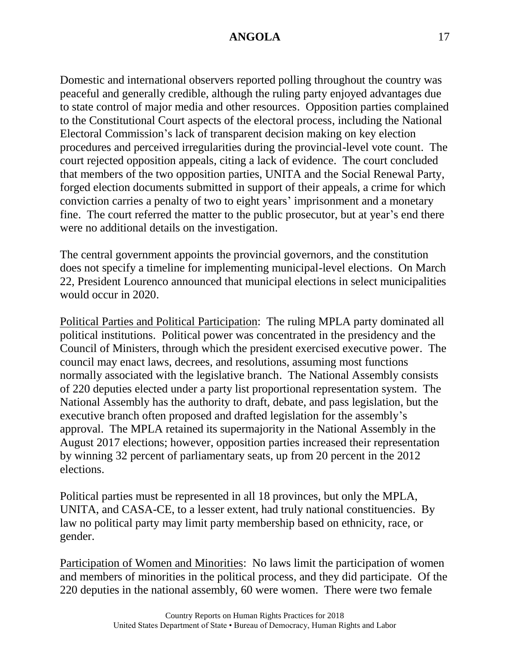Domestic and international observers reported polling throughout the country was peaceful and generally credible, although the ruling party enjoyed advantages due to state control of major media and other resources. Opposition parties complained to the Constitutional Court aspects of the electoral process, including the National Electoral Commission's lack of transparent decision making on key election procedures and perceived irregularities during the provincial-level vote count. The court rejected opposition appeals, citing a lack of evidence. The court concluded that members of the two opposition parties, UNITA and the Social Renewal Party, forged election documents submitted in support of their appeals, a crime for which conviction carries a penalty of two to eight years' imprisonment and a monetary fine. The court referred the matter to the public prosecutor, but at year's end there were no additional details on the investigation.

The central government appoints the provincial governors, and the constitution does not specify a timeline for implementing municipal-level elections. On March 22, President Lourenco announced that municipal elections in select municipalities would occur in 2020.

Political Parties and Political Participation: The ruling MPLA party dominated all political institutions. Political power was concentrated in the presidency and the Council of Ministers, through which the president exercised executive power. The council may enact laws, decrees, and resolutions, assuming most functions normally associated with the legislative branch. The National Assembly consists of 220 deputies elected under a party list proportional representation system. The National Assembly has the authority to draft, debate, and pass legislation, but the executive branch often proposed and drafted legislation for the assembly's approval. The MPLA retained its supermajority in the National Assembly in the August 2017 elections; however, opposition parties increased their representation by winning 32 percent of parliamentary seats, up from 20 percent in the 2012 elections.

Political parties must be represented in all 18 provinces, but only the MPLA, UNITA, and CASA-CE, to a lesser extent, had truly national constituencies. By law no political party may limit party membership based on ethnicity, race, or gender.

Participation of Women and Minorities: No laws limit the participation of women and members of minorities in the political process, and they did participate. Of the 220 deputies in the national assembly, 60 were women. There were two female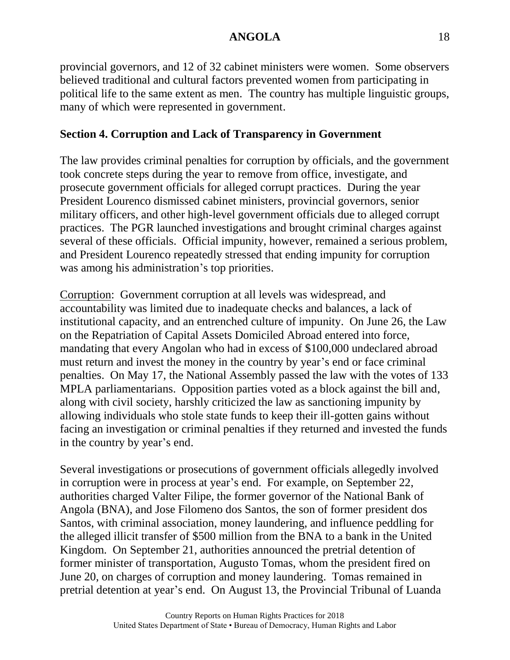provincial governors, and 12 of 32 cabinet ministers were women. Some observers believed traditional and cultural factors prevented women from participating in political life to the same extent as men. The country has multiple linguistic groups, many of which were represented in government.

## **Section 4. Corruption and Lack of Transparency in Government**

The law provides criminal penalties for corruption by officials, and the government took concrete steps during the year to remove from office, investigate, and prosecute government officials for alleged corrupt practices. During the year President Lourenco dismissed cabinet ministers, provincial governors, senior military officers, and other high-level government officials due to alleged corrupt practices. The PGR launched investigations and brought criminal charges against several of these officials. Official impunity, however, remained a serious problem, and President Lourenco repeatedly stressed that ending impunity for corruption was among his administration's top priorities.

Corruption: Government corruption at all levels was widespread, and accountability was limited due to inadequate checks and balances, a lack of institutional capacity, and an entrenched culture of impunity. On June 26, the Law on the Repatriation of Capital Assets Domiciled Abroad entered into force, mandating that every Angolan who had in excess of \$100,000 undeclared abroad must return and invest the money in the country by year's end or face criminal penalties. On May 17, the National Assembly passed the law with the votes of 133 MPLA parliamentarians. Opposition parties voted as a block against the bill and, along with civil society, harshly criticized the law as sanctioning impunity by allowing individuals who stole state funds to keep their ill-gotten gains without facing an investigation or criminal penalties if they returned and invested the funds in the country by year's end.

Several investigations or prosecutions of government officials allegedly involved in corruption were in process at year's end. For example, on September 22, authorities charged Valter Filipe, the former governor of the National Bank of Angola (BNA), and Jose Filomeno dos Santos, the son of former president dos Santos, with criminal association, money laundering, and influence peddling for the alleged illicit transfer of \$500 million from the BNA to a bank in the United Kingdom. On September 21, authorities announced the pretrial detention of former minister of transportation, Augusto Tomas, whom the president fired on June 20, on charges of corruption and money laundering. Tomas remained in pretrial detention at year's end. On August 13, the Provincial Tribunal of Luanda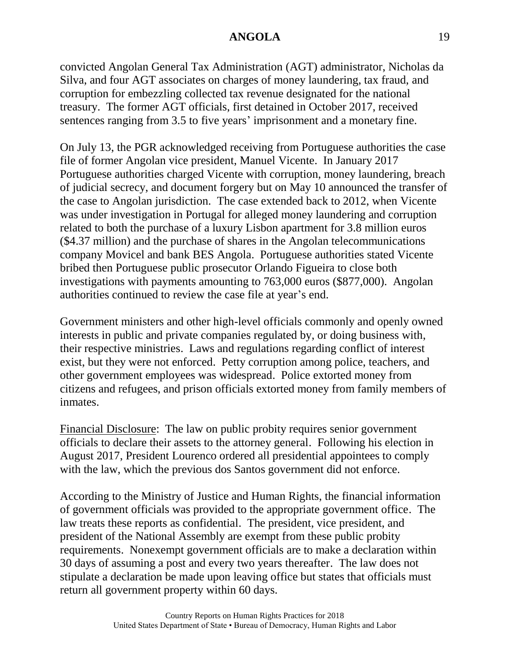convicted Angolan General Tax Administration (AGT) administrator, Nicholas da Silva, and four AGT associates on charges of money laundering, tax fraud, and corruption for embezzling collected tax revenue designated for the national treasury. The former AGT officials, first detained in October 2017, received sentences ranging from 3.5 to five years' imprisonment and a monetary fine.

On July 13, the PGR acknowledged receiving from Portuguese authorities the case file of former Angolan vice president, Manuel Vicente. In January 2017 Portuguese authorities charged Vicente with corruption, money laundering, breach of judicial secrecy, and document forgery but on May 10 announced the transfer of the case to Angolan jurisdiction. The case extended back to 2012, when Vicente was under investigation in Portugal for alleged money laundering and corruption related to both the purchase of a luxury Lisbon apartment for 3.8 million euros (\$4.37 million) and the purchase of shares in the Angolan telecommunications company Movicel and bank BES Angola. Portuguese authorities stated Vicente bribed then Portuguese public prosecutor Orlando Figueira to close both investigations with payments amounting to 763,000 euros (\$877,000). Angolan authorities continued to review the case file at year's end.

Government ministers and other high-level officials commonly and openly owned interests in public and private companies regulated by, or doing business with, their respective ministries. Laws and regulations regarding conflict of interest exist, but they were not enforced. Petty corruption among police, teachers, and other government employees was widespread. Police extorted money from citizens and refugees, and prison officials extorted money from family members of inmates.

Financial Disclosure: The law on public probity requires senior government officials to declare their assets to the attorney general. Following his election in August 2017, President Lourenco ordered all presidential appointees to comply with the law, which the previous dos Santos government did not enforce.

According to the Ministry of Justice and Human Rights, the financial information of government officials was provided to the appropriate government office. The law treats these reports as confidential. The president, vice president, and president of the National Assembly are exempt from these public probity requirements. Nonexempt government officials are to make a declaration within 30 days of assuming a post and every two years thereafter. The law does not stipulate a declaration be made upon leaving office but states that officials must return all government property within 60 days.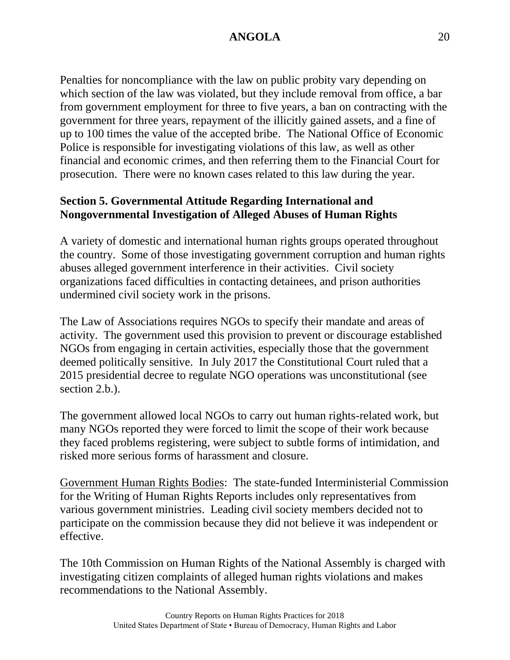Penalties for noncompliance with the law on public probity vary depending on which section of the law was violated, but they include removal from office, a bar from government employment for three to five years, a ban on contracting with the government for three years, repayment of the illicitly gained assets, and a fine of up to 100 times the value of the accepted bribe. The National Office of Economic Police is responsible for investigating violations of this law, as well as other financial and economic crimes, and then referring them to the Financial Court for prosecution. There were no known cases related to this law during the year.

## **Section 5. Governmental Attitude Regarding International and Nongovernmental Investigation of Alleged Abuses of Human Rights**

A variety of domestic and international human rights groups operated throughout the country. Some of those investigating government corruption and human rights abuses alleged government interference in their activities. Civil society organizations faced difficulties in contacting detainees, and prison authorities undermined civil society work in the prisons.

The Law of Associations requires NGOs to specify their mandate and areas of activity. The government used this provision to prevent or discourage established NGOs from engaging in certain activities, especially those that the government deemed politically sensitive. In July 2017 the Constitutional Court ruled that a 2015 presidential decree to regulate NGO operations was unconstitutional (see section 2.b.).

The government allowed local NGOs to carry out human rights-related work, but many NGOs reported they were forced to limit the scope of their work because they faced problems registering, were subject to subtle forms of intimidation, and risked more serious forms of harassment and closure.

Government Human Rights Bodies: The state-funded Interministerial Commission for the Writing of Human Rights Reports includes only representatives from various government ministries. Leading civil society members decided not to participate on the commission because they did not believe it was independent or effective.

The 10th Commission on Human Rights of the National Assembly is charged with investigating citizen complaints of alleged human rights violations and makes recommendations to the National Assembly.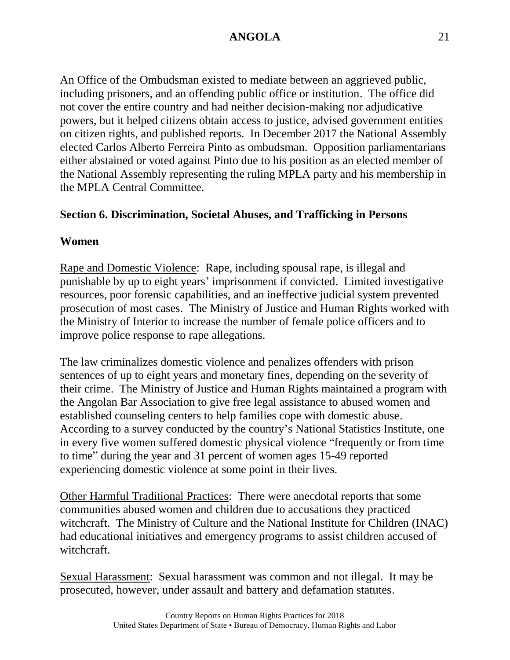An Office of the Ombudsman existed to mediate between an aggrieved public, including prisoners, and an offending public office or institution. The office did not cover the entire country and had neither decision-making nor adjudicative powers, but it helped citizens obtain access to justice, advised government entities on citizen rights, and published reports. In December 2017 the National Assembly elected Carlos Alberto Ferreira Pinto as ombudsman. Opposition parliamentarians either abstained or voted against Pinto due to his position as an elected member of the National Assembly representing the ruling MPLA party and his membership in the MPLA Central Committee.

# **Section 6. Discrimination, Societal Abuses, and Trafficking in Persons**

#### **Women**

Rape and Domestic Violence: Rape, including spousal rape, is illegal and punishable by up to eight years' imprisonment if convicted. Limited investigative resources, poor forensic capabilities, and an ineffective judicial system prevented prosecution of most cases. The Ministry of Justice and Human Rights worked with the Ministry of Interior to increase the number of female police officers and to improve police response to rape allegations.

The law criminalizes domestic violence and penalizes offenders with prison sentences of up to eight years and monetary fines, depending on the severity of their crime. The Ministry of Justice and Human Rights maintained a program with the Angolan Bar Association to give free legal assistance to abused women and established counseling centers to help families cope with domestic abuse. According to a survey conducted by the country's National Statistics Institute, one in every five women suffered domestic physical violence "frequently or from time to time" during the year and 31 percent of women ages 15-49 reported experiencing domestic violence at some point in their lives.

Other Harmful Traditional Practices: There were anecdotal reports that some communities abused women and children due to accusations they practiced witchcraft. The Ministry of Culture and the National Institute for Children (INAC) had educational initiatives and emergency programs to assist children accused of witchcraft.

Sexual Harassment: Sexual harassment was common and not illegal. It may be prosecuted, however, under assault and battery and defamation statutes.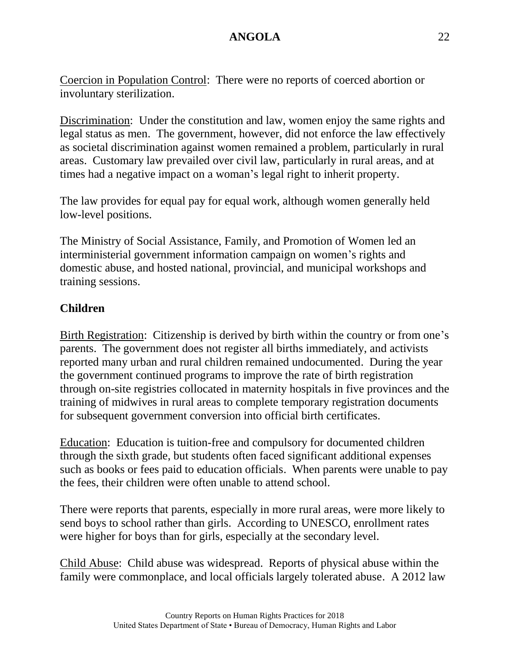Coercion in Population Control: There were no reports of coerced abortion or involuntary sterilization.

Discrimination: Under the constitution and law, women enjoy the same rights and legal status as men. The government, however, did not enforce the law effectively as societal discrimination against women remained a problem, particularly in rural areas. Customary law prevailed over civil law, particularly in rural areas, and at times had a negative impact on a woman's legal right to inherit property.

The law provides for equal pay for equal work, although women generally held low-level positions.

The Ministry of Social Assistance, Family, and Promotion of Women led an interministerial government information campaign on women's rights and domestic abuse, and hosted national, provincial, and municipal workshops and training sessions.

# **Children**

Birth Registration: Citizenship is derived by birth within the country or from one's parents. The government does not register all births immediately, and activists reported many urban and rural children remained undocumented. During the year the government continued programs to improve the rate of birth registration through on-site registries collocated in maternity hospitals in five provinces and the training of midwives in rural areas to complete temporary registration documents for subsequent government conversion into official birth certificates.

Education: Education is tuition-free and compulsory for documented children through the sixth grade, but students often faced significant additional expenses such as books or fees paid to education officials. When parents were unable to pay the fees, their children were often unable to attend school.

There were reports that parents, especially in more rural areas, were more likely to send boys to school rather than girls. According to UNESCO, enrollment rates were higher for boys than for girls, especially at the secondary level.

Child Abuse: Child abuse was widespread. Reports of physical abuse within the family were commonplace, and local officials largely tolerated abuse. A 2012 law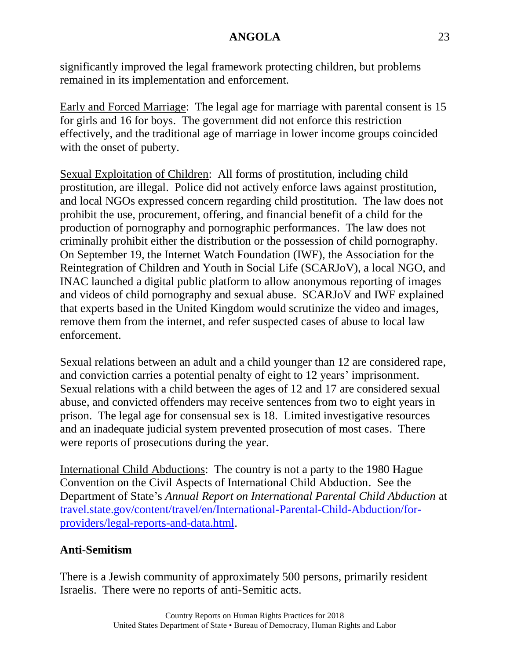significantly improved the legal framework protecting children, but problems remained in its implementation and enforcement.

Early and Forced Marriage: The legal age for marriage with parental consent is 15 for girls and 16 for boys. The government did not enforce this restriction effectively, and the traditional age of marriage in lower income groups coincided with the onset of puberty.

Sexual Exploitation of Children: All forms of prostitution, including child prostitution, are illegal. Police did not actively enforce laws against prostitution, and local NGOs expressed concern regarding child prostitution. The law does not prohibit the use, procurement, offering, and financial benefit of a child for the production of pornography and pornographic performances. The law does not criminally prohibit either the distribution or the possession of child pornography. On September 19, the Internet Watch Foundation (IWF), the Association for the Reintegration of Children and Youth in Social Life (SCARJoV), a local NGO, and INAC launched a digital public platform to allow anonymous reporting of images and videos of child pornography and sexual abuse. SCARJoV and IWF explained that experts based in the United Kingdom would scrutinize the video and images, remove them from the internet, and refer suspected cases of abuse to local law enforcement.

Sexual relations between an adult and a child younger than 12 are considered rape, and conviction carries a potential penalty of eight to 12 years' imprisonment. Sexual relations with a child between the ages of 12 and 17 are considered sexual abuse, and convicted offenders may receive sentences from two to eight years in prison. The legal age for consensual sex is 18. Limited investigative resources and an inadequate judicial system prevented prosecution of most cases. There were reports of prosecutions during the year.

International Child Abductions: The country is not a party to the 1980 Hague Convention on the Civil Aspects of International Child Abduction. See the Department of State's *Annual Report on International Parental Child Abduction* at [travel.state.gov/content/travel/en/International-Parental-Child-Abduction/for](https://travel.state.gov/content/travel/en/International-Parental-Child-Abduction/for-providers/legal-reports-and-data.html)[providers/legal-reports-and-data.html.](https://travel.state.gov/content/travel/en/International-Parental-Child-Abduction/for-providers/legal-reports-and-data.html)

### **Anti-Semitism**

There is a Jewish community of approximately 500 persons, primarily resident Israelis. There were no reports of anti-Semitic acts.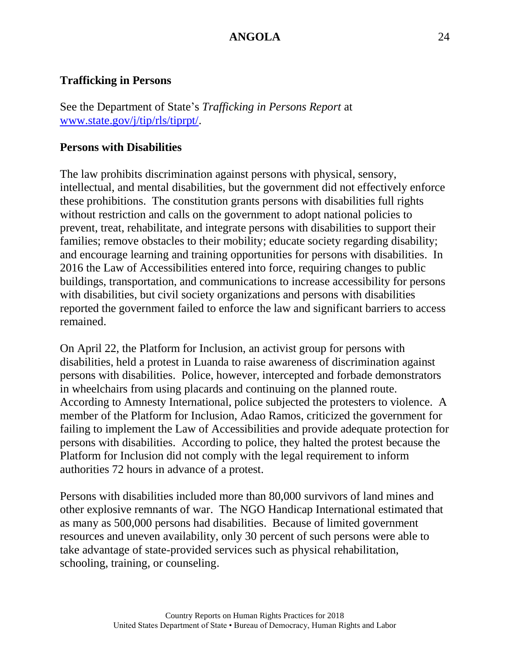#### **Trafficking in Persons**

See the Department of State's *Trafficking in Persons Report* at [www.state.gov/j/tip/rls/tiprpt/.](http://www.state.gov/j/tip/rls/tiprpt/)

#### **Persons with Disabilities**

The law prohibits discrimination against persons with physical, sensory, intellectual, and mental disabilities, but the government did not effectively enforce these prohibitions. The constitution grants persons with disabilities full rights without restriction and calls on the government to adopt national policies to prevent, treat, rehabilitate, and integrate persons with disabilities to support their families; remove obstacles to their mobility; educate society regarding disability; and encourage learning and training opportunities for persons with disabilities. In 2016 the Law of Accessibilities entered into force, requiring changes to public buildings, transportation, and communications to increase accessibility for persons with disabilities, but civil society organizations and persons with disabilities reported the government failed to enforce the law and significant barriers to access remained.

On April 22, the Platform for Inclusion, an activist group for persons with disabilities, held a protest in Luanda to raise awareness of discrimination against persons with disabilities. Police, however, intercepted and forbade demonstrators in wheelchairs from using placards and continuing on the planned route. According to Amnesty International, police subjected the protesters to violence. A member of the Platform for Inclusion, Adao Ramos, criticized the government for failing to implement the Law of Accessibilities and provide adequate protection for persons with disabilities. According to police, they halted the protest because the Platform for Inclusion did not comply with the legal requirement to inform authorities 72 hours in advance of a protest.

Persons with disabilities included more than 80,000 survivors of land mines and other explosive remnants of war. The NGO Handicap International estimated that as many as 500,000 persons had disabilities. Because of limited government resources and uneven availability, only 30 percent of such persons were able to take advantage of state-provided services such as physical rehabilitation, schooling, training, or counseling.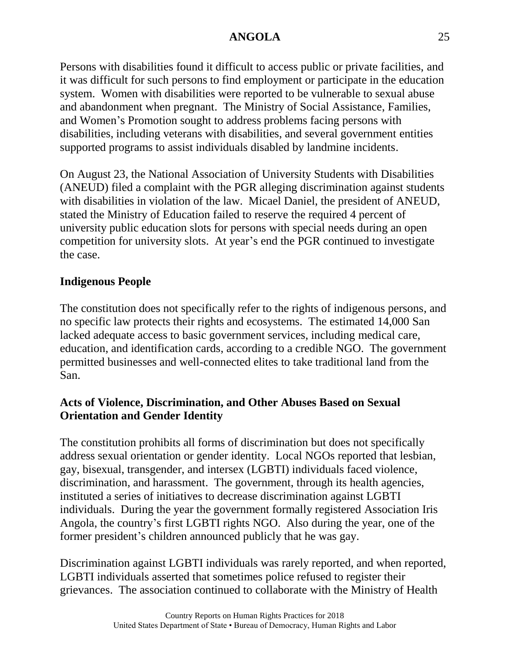Persons with disabilities found it difficult to access public or private facilities, and it was difficult for such persons to find employment or participate in the education system. Women with disabilities were reported to be vulnerable to sexual abuse and abandonment when pregnant. The Ministry of Social Assistance, Families, and Women's Promotion sought to address problems facing persons with disabilities, including veterans with disabilities, and several government entities supported programs to assist individuals disabled by landmine incidents.

On August 23, the National Association of University Students with Disabilities (ANEUD) filed a complaint with the PGR alleging discrimination against students with disabilities in violation of the law. Micael Daniel, the president of ANEUD, stated the Ministry of Education failed to reserve the required 4 percent of university public education slots for persons with special needs during an open competition for university slots. At year's end the PGR continued to investigate the case.

### **Indigenous People**

The constitution does not specifically refer to the rights of indigenous persons, and no specific law protects their rights and ecosystems. The estimated 14,000 San lacked adequate access to basic government services, including medical care, education, and identification cards, according to a credible NGO. The government permitted businesses and well-connected elites to take traditional land from the San.

### **Acts of Violence, Discrimination, and Other Abuses Based on Sexual Orientation and Gender Identity**

The constitution prohibits all forms of discrimination but does not specifically address sexual orientation or gender identity. Local NGOs reported that lesbian, gay, bisexual, transgender, and intersex (LGBTI) individuals faced violence, discrimination, and harassment. The government, through its health agencies, instituted a series of initiatives to decrease discrimination against LGBTI individuals. During the year the government formally registered Association Iris Angola, the country's first LGBTI rights NGO. Also during the year, one of the former president's children announced publicly that he was gay.

Discrimination against LGBTI individuals was rarely reported, and when reported, LGBTI individuals asserted that sometimes police refused to register their grievances. The association continued to collaborate with the Ministry of Health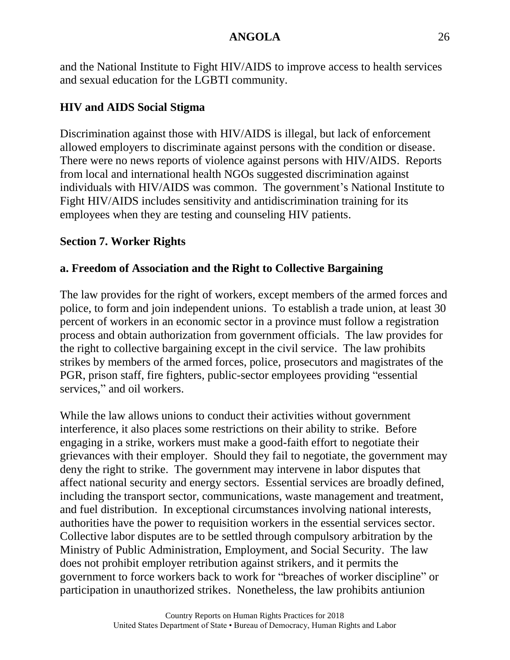and the National Institute to Fight HIV/AIDS to improve access to health services and sexual education for the LGBTI community.

# **HIV and AIDS Social Stigma**

Discrimination against those with HIV/AIDS is illegal, but lack of enforcement allowed employers to discriminate against persons with the condition or disease. There were no news reports of violence against persons with HIV/AIDS. Reports from local and international health NGOs suggested discrimination against individuals with HIV/AIDS was common. The government's National Institute to Fight HIV/AIDS includes sensitivity and antidiscrimination training for its employees when they are testing and counseling HIV patients.

# **Section 7. Worker Rights**

# **a. Freedom of Association and the Right to Collective Bargaining**

The law provides for the right of workers, except members of the armed forces and police, to form and join independent unions. To establish a trade union, at least 30 percent of workers in an economic sector in a province must follow a registration process and obtain authorization from government officials. The law provides for the right to collective bargaining except in the civil service. The law prohibits strikes by members of the armed forces, police, prosecutors and magistrates of the PGR, prison staff, fire fighters, public-sector employees providing "essential services," and oil workers.

While the law allows unions to conduct their activities without government interference, it also places some restrictions on their ability to strike. Before engaging in a strike, workers must make a good-faith effort to negotiate their grievances with their employer. Should they fail to negotiate, the government may deny the right to strike. The government may intervene in labor disputes that affect national security and energy sectors. Essential services are broadly defined, including the transport sector, communications, waste management and treatment, and fuel distribution. In exceptional circumstances involving national interests, authorities have the power to requisition workers in the essential services sector. Collective labor disputes are to be settled through compulsory arbitration by the Ministry of Public Administration, Employment, and Social Security. The law does not prohibit employer retribution against strikers, and it permits the government to force workers back to work for "breaches of worker discipline" or participation in unauthorized strikes. Nonetheless, the law prohibits antiunion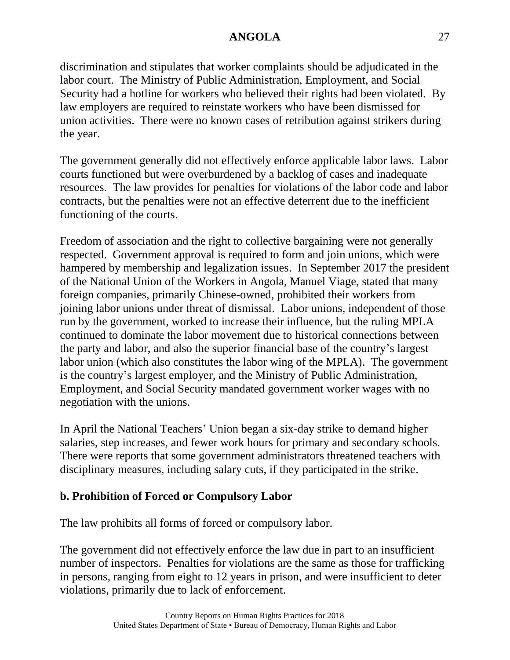discrimination and stipulates that worker complaints should be adjudicated in the labor court. The Ministry of Public Administration, Employment, and Social Security had a hotline for workers who believed their rights had been violated. By law employers are required to reinstate workers who have been dismissed for union activities. There were no known cases of retribution against strikers during the year.

The government generally did not effectively enforce applicable labor laws. Labor courts functioned but were overburdened by a backlog of cases and inadequate resources. The law provides for penalties for violations of the labor code and labor contracts, but the penalties were not an effective deterrent due to the inefficient functioning of the courts.

Freedom of association and the right to collective bargaining were not generally respected. Government approval is required to form and join unions, which were hampered by membership and legalization issues. In September 2017 the president of the National Union of the Workers in Angola, Manuel Viage, stated that many foreign companies, primarily Chinese-owned, prohibited their workers from joining labor unions under threat of dismissal. Labor unions, independent of those run by the government, worked to increase their influence, but the ruling MPLA continued to dominate the labor movement due to historical connections between the party and labor, and also the superior financial base of the country's largest labor union (which also constitutes the labor wing of the MPLA). The government is the country's largest employer, and the Ministry of Public Administration, Employment, and Social Security mandated government worker wages with no negotiation with the unions.

In April the National Teachers' Union began a six-day strike to demand higher salaries, step increases, and fewer work hours for primary and secondary schools. There were reports that some government administrators threatened teachers with disciplinary measures, including salary cuts, if they participated in the strike.

### **b. Prohibition of Forced or Compulsory Labor**

The law prohibits all forms of forced or compulsory labor.

The government did not effectively enforce the law due in part to an insufficient number of inspectors. Penalties for violations are the same as those for trafficking in persons, ranging from eight to 12 years in prison, and were insufficient to deter violations, primarily due to lack of enforcement.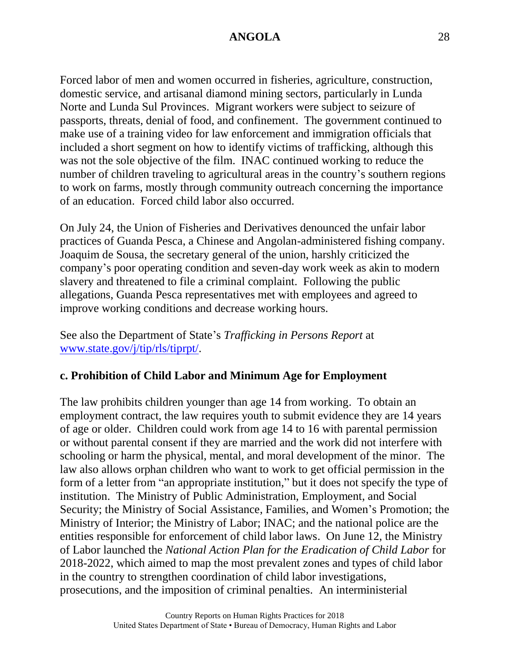Forced labor of men and women occurred in fisheries, agriculture, construction, domestic service, and artisanal diamond mining sectors, particularly in Lunda Norte and Lunda Sul Provinces. Migrant workers were subject to seizure of passports, threats, denial of food, and confinement. The government continued to make use of a training video for law enforcement and immigration officials that included a short segment on how to identify victims of trafficking, although this was not the sole objective of the film. INAC continued working to reduce the number of children traveling to agricultural areas in the country's southern regions to work on farms, mostly through community outreach concerning the importance of an education. Forced child labor also occurred.

On July 24, the Union of Fisheries and Derivatives denounced the unfair labor practices of Guanda Pesca, a Chinese and Angolan-administered fishing company. Joaquim de Sousa, the secretary general of the union, harshly criticized the company's poor operating condition and seven-day work week as akin to modern slavery and threatened to file a criminal complaint. Following the public allegations, Guanda Pesca representatives met with employees and agreed to improve working conditions and decrease working hours.

See also the Department of State's *Trafficking in Persons Report* at [www.state.gov/j/tip/rls/tiprpt/.](http://www.state.gov/j/tip/rls/tiprpt/)

### **c. Prohibition of Child Labor and Minimum Age for Employment**

The law prohibits children younger than age 14 from working. To obtain an employment contract, the law requires youth to submit evidence they are 14 years of age or older. Children could work from age 14 to 16 with parental permission or without parental consent if they are married and the work did not interfere with schooling or harm the physical, mental, and moral development of the minor. The law also allows orphan children who want to work to get official permission in the form of a letter from "an appropriate institution," but it does not specify the type of institution. The Ministry of Public Administration, Employment, and Social Security; the Ministry of Social Assistance, Families, and Women's Promotion; the Ministry of Interior; the Ministry of Labor; INAC; and the national police are the entities responsible for enforcement of child labor laws. On June 12, the Ministry of Labor launched the *National Action Plan for the Eradication of Child Labor* for 2018-2022, which aimed to map the most prevalent zones and types of child labor in the country to strengthen coordination of child labor investigations, prosecutions, and the imposition of criminal penalties. An interministerial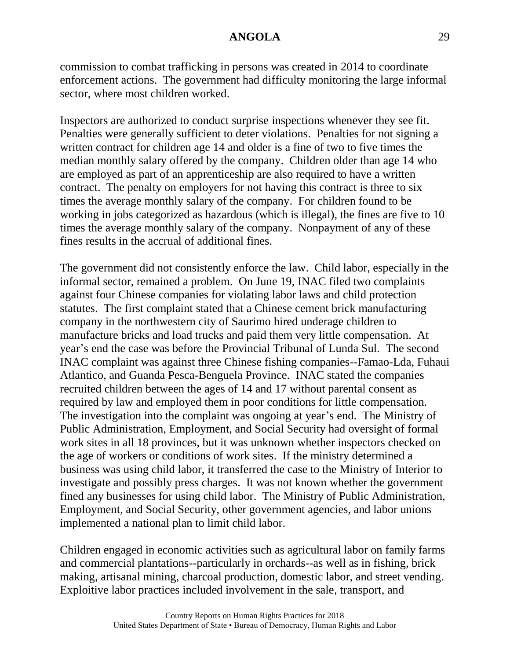commission to combat trafficking in persons was created in 2014 to coordinate enforcement actions. The government had difficulty monitoring the large informal sector, where most children worked.

Inspectors are authorized to conduct surprise inspections whenever they see fit. Penalties were generally sufficient to deter violations. Penalties for not signing a written contract for children age 14 and older is a fine of two to five times the median monthly salary offered by the company. Children older than age 14 who are employed as part of an apprenticeship are also required to have a written contract. The penalty on employers for not having this contract is three to six times the average monthly salary of the company. For children found to be working in jobs categorized as hazardous (which is illegal), the fines are five to 10 times the average monthly salary of the company. Nonpayment of any of these fines results in the accrual of additional fines.

The government did not consistently enforce the law. Child labor, especially in the informal sector, remained a problem. On June 19, INAC filed two complaints against four Chinese companies for violating labor laws and child protection statutes. The first complaint stated that a Chinese cement brick manufacturing company in the northwestern city of Saurimo hired underage children to manufacture bricks and load trucks and paid them very little compensation. At year's end the case was before the Provincial Tribunal of Lunda Sul. The second INAC complaint was against three Chinese fishing companies--Famao-Lda, Fuhaui Atlantico, and Guanda Pesca-Benguela Province. INAC stated the companies recruited children between the ages of 14 and 17 without parental consent as required by law and employed them in poor conditions for little compensation. The investigation into the complaint was ongoing at year's end. The Ministry of Public Administration, Employment, and Social Security had oversight of formal work sites in all 18 provinces, but it was unknown whether inspectors checked on the age of workers or conditions of work sites. If the ministry determined a business was using child labor, it transferred the case to the Ministry of Interior to investigate and possibly press charges. It was not known whether the government fined any businesses for using child labor. The Ministry of Public Administration, Employment, and Social Security, other government agencies, and labor unions implemented a national plan to limit child labor.

Children engaged in economic activities such as agricultural labor on family farms and commercial plantations--particularly in orchards--as well as in fishing, brick making, artisanal mining, charcoal production, domestic labor, and street vending. Exploitive labor practices included involvement in the sale, transport, and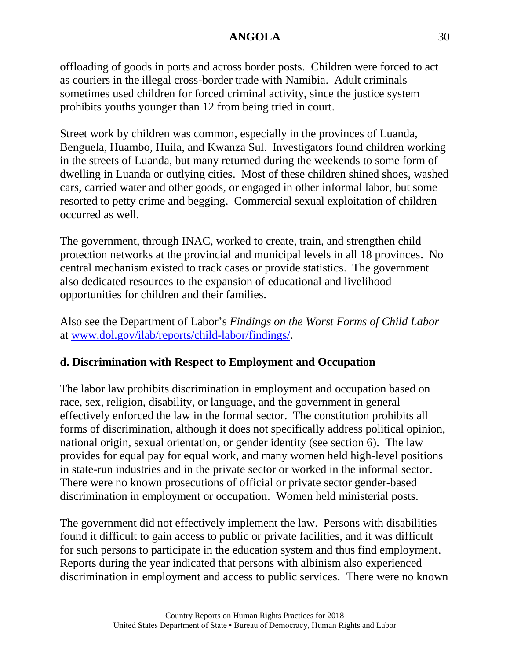offloading of goods in ports and across border posts. Children were forced to act as couriers in the illegal cross-border trade with Namibia. Adult criminals sometimes used children for forced criminal activity, since the justice system prohibits youths younger than 12 from being tried in court.

Street work by children was common, especially in the provinces of Luanda, Benguela, Huambo, Huila, and Kwanza Sul. Investigators found children working in the streets of Luanda, but many returned during the weekends to some form of dwelling in Luanda or outlying cities. Most of these children shined shoes, washed cars, carried water and other goods, or engaged in other informal labor, but some resorted to petty crime and begging. Commercial sexual exploitation of children occurred as well.

The government, through INAC, worked to create, train, and strengthen child protection networks at the provincial and municipal levels in all 18 provinces. No central mechanism existed to track cases or provide statistics. The government also dedicated resources to the expansion of educational and livelihood opportunities for children and their families.

Also see the Department of Labor's *Findings on the Worst Forms of Child Labor* at [www.dol.gov/ilab/reports/child-labor/findings/.](http://www.dol.gov/ilab/reports/child-labor/findings/)

### **d. Discrimination with Respect to Employment and Occupation**

The labor law prohibits discrimination in employment and occupation based on race, sex, religion, disability, or language, and the government in general effectively enforced the law in the formal sector. The constitution prohibits all forms of discrimination, although it does not specifically address political opinion, national origin, sexual orientation, or gender identity (see section 6). The law provides for equal pay for equal work, and many women held high-level positions in state-run industries and in the private sector or worked in the informal sector. There were no known prosecutions of official or private sector gender-based discrimination in employment or occupation. Women held ministerial posts.

The government did not effectively implement the law. Persons with disabilities found it difficult to gain access to public or private facilities, and it was difficult for such persons to participate in the education system and thus find employment. Reports during the year indicated that persons with albinism also experienced discrimination in employment and access to public services. There were no known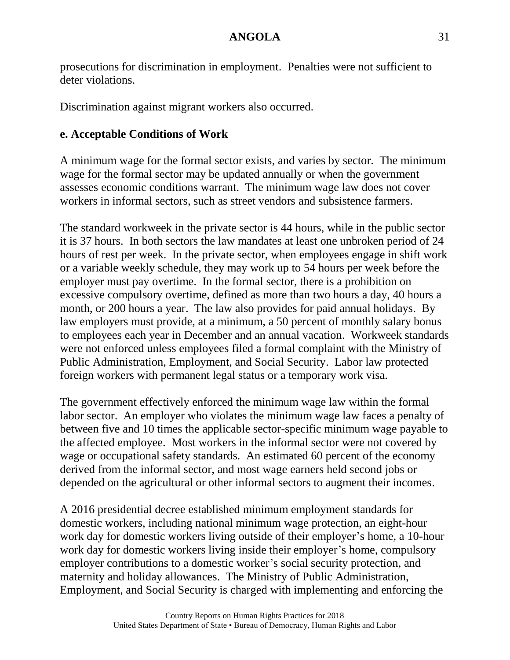prosecutions for discrimination in employment. Penalties were not sufficient to deter violations.

Discrimination against migrant workers also occurred.

# **e. Acceptable Conditions of Work**

A minimum wage for the formal sector exists, and varies by sector. The minimum wage for the formal sector may be updated annually or when the government assesses economic conditions warrant. The minimum wage law does not cover workers in informal sectors, such as street vendors and subsistence farmers.

The standard workweek in the private sector is 44 hours, while in the public sector it is 37 hours. In both sectors the law mandates at least one unbroken period of 24 hours of rest per week. In the private sector, when employees engage in shift work or a variable weekly schedule, they may work up to 54 hours per week before the employer must pay overtime. In the formal sector, there is a prohibition on excessive compulsory overtime, defined as more than two hours a day, 40 hours a month, or 200 hours a year. The law also provides for paid annual holidays. By law employers must provide, at a minimum, a 50 percent of monthly salary bonus to employees each year in December and an annual vacation. Workweek standards were not enforced unless employees filed a formal complaint with the Ministry of Public Administration, Employment, and Social Security. Labor law protected foreign workers with permanent legal status or a temporary work visa.

The government effectively enforced the minimum wage law within the formal labor sector. An employer who violates the minimum wage law faces a penalty of between five and 10 times the applicable sector-specific minimum wage payable to the affected employee. Most workers in the informal sector were not covered by wage or occupational safety standards. An estimated 60 percent of the economy derived from the informal sector, and most wage earners held second jobs or depended on the agricultural or other informal sectors to augment their incomes.

A 2016 presidential decree established minimum employment standards for domestic workers, including national minimum wage protection, an eight-hour work day for domestic workers living outside of their employer's home, a 10-hour work day for domestic workers living inside their employer's home, compulsory employer contributions to a domestic worker's social security protection, and maternity and holiday allowances. The Ministry of Public Administration, Employment, and Social Security is charged with implementing and enforcing the